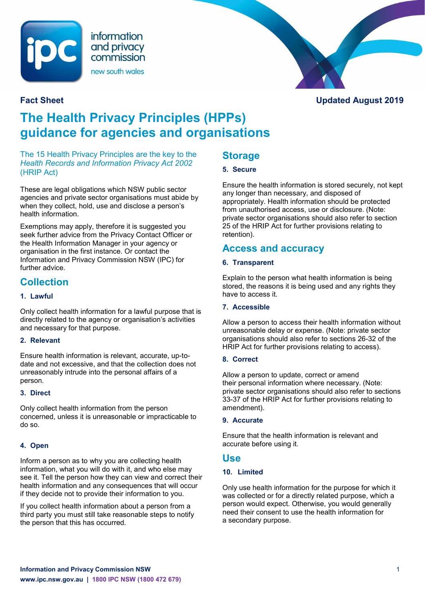

information and privacy commission new south wales



# **The Health Privacy Principles (HPPs) guidance for agencies and organisations**

The 15 Health Privacy Principles are the key to the *Health Records and Information Privacy Act 2002*  (HRIP Act)

These are legal obligations which NSW public sector agencies and private sector organisations must abide by when they collect, hold, use and disclose a person's health information.

Exemptions may apply, therefore it is suggested you seek further advice from the Privacy Contact Officer or the Health Information Manager in your agency or organisation in the first instance. Or contact the Information and Privacy Commission NSW (IPC) for further advice.

## **Collection**

#### **1. Lawful**

Only collect health information for a lawful purpose that is directly related to the agency or organisation's activities and necessary for that purpose.

#### **2. Relevant**

Ensure health information is relevant, accurate, up-todate and not excessive, and that the collection does not unreasonably intrude into the personal affairs of a person.

#### **3. Direct**

Only collect health information from the person concerned, unless it is unreasonable or impracticable to do so.

#### **4. Open**

Inform a person as to why you are collecting health information, what you will do with it, and who else may see it. Tell the person how they can view and correct their health information and any consequences that will occur if they decide not to provide their information to you.

If you collect health information about a person from a third party you must still take reasonable steps to notify the person that this has occurred.

## **Storage**

#### **5. Secure**

Ensure the health information is stored securely, not kept any longer than necessary, and disposed of appropriately. Health information should be protected from unauthorised access, use or disclosure. (Note: private sector organisations should also refer to section 25 of the HRIP Act for further provisions relating to retention).

## **Access and accuracy**

#### **6. Transparent**

Explain to the person what health information is being stored, the reasons it is being used and any rights they have to access it.

#### **7. Accessible**

Allow a person to access their health information without unreasonable delay or expense. (Note: private sector organisations should also refer to sections 26-32 of the HRIP Act for further provisions relating to access).

#### **8. Correct**

Allow a person to update, correct or amend their personal information where necessary. (Note: private sector organisations should also refer to sections 33-37 of the HRIP Act for further provisions relating to amendment).

#### **9. Accurate**

Ensure that the health information is relevant and accurate before using it.

### **Use**

#### **10. Limited**

Only use health information for the purpose for which it was collected or for a directly related purpose, which a person would expect. Otherwise, you would generally need their consent to use the health information for a secondary purpose.